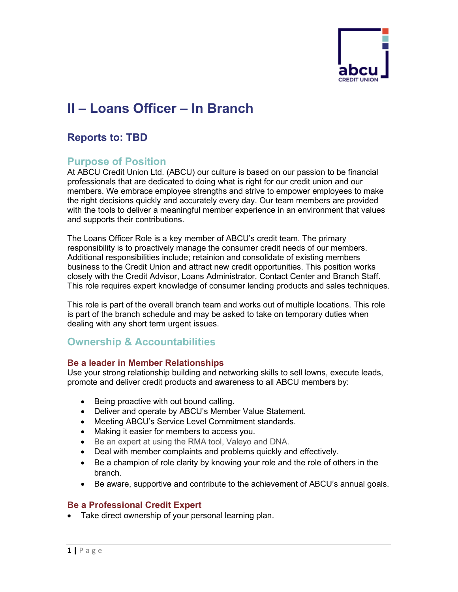

# **II – Loans Officer – In Branch**

# **Reports to: TBD**

# **Purpose of Position**

At ABCU Credit Union Ltd. (ABCU) our culture is based on our passion to be financial professionals that are dedicated to doing what is right for our credit union and our members. We embrace employee strengths and strive to empower employees to make the right decisions quickly and accurately every day. Our team members are provided with the tools to deliver a meaningful member experience in an environment that values and supports their contributions.

The Loans Officer Role is a key member of ABCU's credit team. The primary responsibility is to proactively manage the consumer credit needs of our members. Additional responsibilities include; retainion and consolidate of existing members business to the Credit Union and attract new credit opportunities. This position works closely with the Credit Advisor, Loans Administrator, Contact Center and Branch Staff. This role requires expert knowledge of consumer lending products and sales techniques.

This role is part of the overall branch team and works out of multiple locations. This role is part of the branch schedule and may be asked to take on temporary duties when dealing with any short term urgent issues.

# **Ownership & Accountabilities**

## **Be a leader in Member Relationships**

Use your strong relationship building and networking skills to sell lowns, execute leads, promote and deliver credit products and awareness to all ABCU members by:

- Being proactive with out bound calling.
- Deliver and operate by ABCU's Member Value Statement.
- Meeting ABCU's Service Level Commitment standards.
- Making it easier for members to access you.
- Be an expert at using the RMA tool, Valeyo and DNA.
- Deal with member complaints and problems quickly and effectively.
- Be a champion of role clarity by knowing your role and the role of others in the branch.
- Be aware, supportive and contribute to the achievement of ABCU's annual goals.

## **Be a Professional Credit Expert**

• Take direct ownership of your personal learning plan.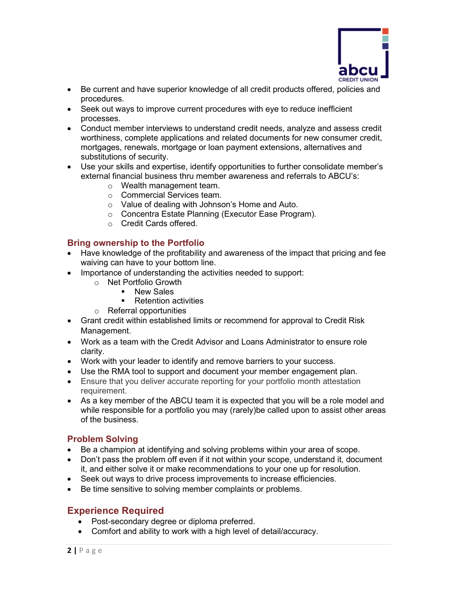

- Be current and have superior knowledge of all credit products offered, policies and procedures.
- Seek out ways to improve current procedures with eye to reduce inefficient processes.
- Conduct member interviews to understand credit needs, analyze and assess credit worthiness, complete applications and related documents for new consumer credit, mortgages, renewals, mortgage or loan payment extensions, alternatives and substitutions of security.
- Use your skills and expertise, identify opportunities to further consolidate member's external financial business thru member awareness and referrals to ABCU's:
	- o Wealth management team.
	- o Commercial Services team.
	- o Value of dealing with Johnson's Home and Auto.
	- o Concentra Estate Planning (Executor Ease Program).
	- o Credit Cards offered.

## **Bring ownership to the Portfolio**

- Have knowledge of the profitability and awareness of the impact that pricing and fee waiving can have to your bottom line.
- Importance of understanding the activities needed to support:
	- o Net Portfolio Growth
		- **New Sales** 
			- Retention activities
	- o Referral opportunities
- Grant credit within established limits or recommend for approval to Credit Risk Management.
- Work as a team with the Credit Advisor and Loans Administrator to ensure role clarity.
- Work with your leader to identify and remove barriers to your success.
- Use the RMA tool to support and document your member engagement plan.
- Ensure that you deliver accurate reporting for your portfolio month attestation requirement.
- As a key member of the ABCU team it is expected that you will be a role model and while responsible for a portfolio you may (rarely)be called upon to assist other areas of the business.

# **Problem Solving**

- Be a champion at identifying and solving problems within your area of scope.
- Don't pass the problem off even if it not within your scope, understand it, document it, and either solve it or make recommendations to your one up for resolution.
- Seek out ways to drive process improvements to increase efficiencies.
- Be time sensitive to solving member complaints or problems.

# **Experience Required**

- Post-secondary degree or diploma preferred.
- Comfort and ability to work with a high level of detail/accuracy.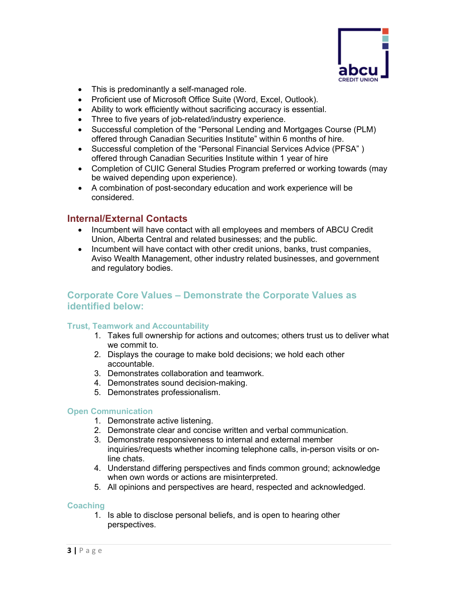

- This is predominantly a self-managed role.
- Proficient use of Microsoft Office Suite (Word, Excel, Outlook).
- Ability to work efficiently without sacrificing accuracy is essential.
- Three to five years of job-related/industry experience.
- Successful completion of the "Personal Lending and Mortgages Course (PLM) offered through Canadian Securities Institute" within 6 months of hire.
- Successful completion of the "Personal Financial Services Advice (PFSA" ) offered through Canadian Securities Institute within 1 year of hire
- Completion of CUIC General Studies Program preferred or working towards (may be waived depending upon experience).
- A combination of post-secondary education and work experience will be considered.

# **Internal/External Contacts**

- Incumbent will have contact with all employees and members of ABCU Credit Union, Alberta Central and related businesses; and the public.
- Incumbent will have contact with other credit unions, banks, trust companies, Aviso Wealth Management, other industry related businesses, and government and regulatory bodies.

# **Corporate Core Values – Demonstrate the Corporate Values as identified below:**

#### **Trust, Teamwork and Accountability**

- 1. Takes full ownership for actions and outcomes; others trust us to deliver what we commit to.
- 2. Displays the courage to make bold decisions; we hold each other accountable.
- 3. Demonstrates collaboration and teamwork.
- 4. Demonstrates sound decision-making.
- 5. Demonstrates professionalism.

#### **Open Communication**

- 1. Demonstrate active listening.
- 2. Demonstrate clear and concise written and verbal communication.
- 3. Demonstrate responsiveness to internal and external member inquiries/requests whether incoming telephone calls, in-person visits or online chats.
- 4. Understand differing perspectives and finds common ground; acknowledge when own words or actions are misinterpreted.
- 5. All opinions and perspectives are heard, respected and acknowledged.

#### **Coaching**

1. Is able to disclose personal beliefs, and is open to hearing other perspectives.